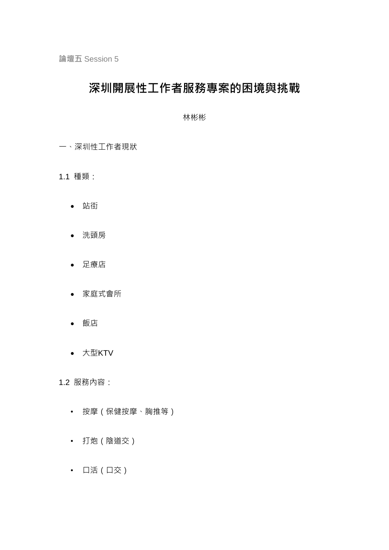# 深圳開展性工作者服務專案的困境與挑戰

林彬彬

一、深圳性工作者現狀

1.1 種類:

- 站街
- 洗頭房
- 足療店
- 家庭式會所
- 飯店
- 大型KTV

1.2 服務內容:

- 按摩(保健按摩、胸推等)
- 打炮(陰道交)
- 口活(口交)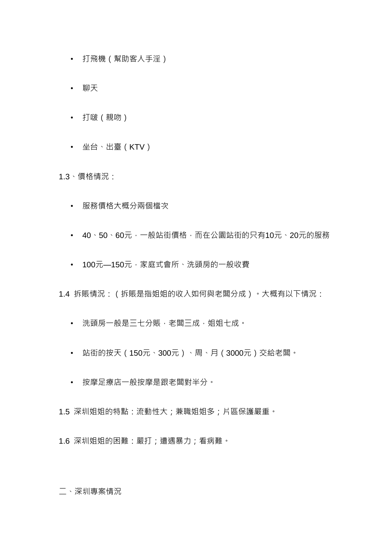- 打飛機(幫助客人手淫)
- 聊天
- 打啵(親吻)
- 坐台、出臺(KTV)
- 1.3、價格情況:
	- 服務價格大概分兩個檔次
	- 40、50、60元,一般站街價格,而在公園站街的只有10元、20元的服務
	- 100元—150元,家庭式會所、洗頭房的一般收費
- 1.4 拆賬情況: (拆賬是指姐姐的收入如何與老闆分成) 。大概有以下情況:
	- 洗頭房一般是三七分賬,老闆三成,姐姐七成。
	- 站街的按天(150元、300元)、周、月(3000元)交給老闆。
	- 按摩足療店一般按摩是跟老闆對半分。
- 1.5 深圳姐姐的特點:流動性大;兼職姐姐多;片區保護嚴重。
- 1.6 深圳姐姐的困難:嚴打;遭遇暴力;看病難。

二、深圳專案情況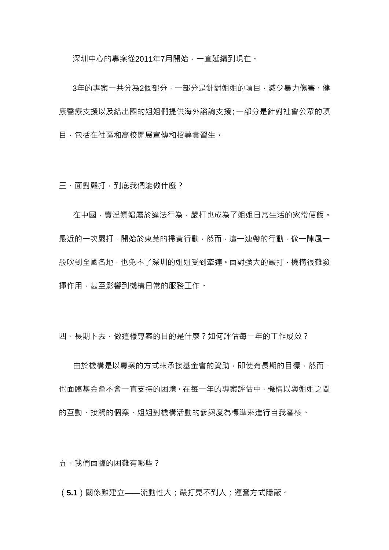深圳中心的專案從2011年7月開始,一直延續到現在。

3年的專案一共分為2個部分,一部分是針對姐姐的項目,減少暴力傷害、健 康醫療支援以及給出國的姐姐們提供海外諮詢支援;一部分是針對社會公眾的項 目,包括在社區和高校開展宣傳和招募實習生。

三、面對嚴打,到底我們能做什麼?

在中國,賣淫嫖娼屬於違法行為,嚴打也成為了姐姐日常生活的家常便飯。 最近的一次嚴打,開始於東莞的掃黃行動,然而,這一連帶的行動,像一陣風一 般吹到全國各地,也免不了深圳的姐姐受到牽連。面對強大的嚴打,機構很難發 揮作用,甚至影響到機構日常的服務工作。

四、長期下去,做這樣專案的目的是什麼?如何評估每一年的工作成效?

由於機構是以專案的方式來承接基金會的資助,即使有長期的目標,然而, 也面臨基金會不會一直支持的困境。在每一年的專案評估中,機構以與姐姐之間 的互動、接觸的個案、姐姐對機構活動的參與度為標準來進行自我審核。

五、我們面臨的困難有哪些?

(**5.1**)關係難建立**——**流動性大;嚴打見不到人;運營方式隱蔽。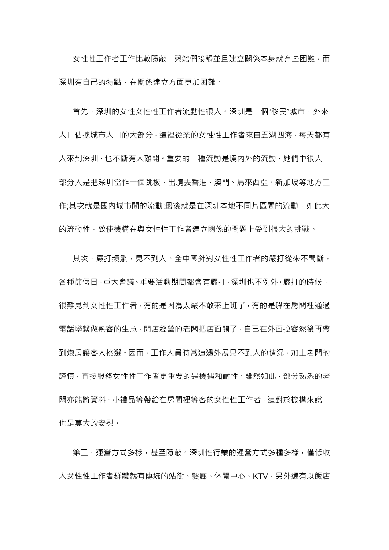女性性工作者工作比較隱蔽,與她們接觸並且建立關係本身就有些困難,而 深圳有自己的特點,在關係建立方面更加困難。

首先,深圳的女性女性性工作者流動性很大。深圳是一個"移民"城市,外來 人口佔據城市人口的大部分,這裡從業的女性性工作者來自五湖四海,每天都有 人來到深圳,也不斷有人離開。重要的一種流動是境内外的流動,她們中很大一 部分人是把深圳當作一個跳板,出境去香港、澳門、馬來西亞、新加坡等地方工 作;其次就是國內城市間的流動;最後就是在深圳本地不同片區間的流動,如此大 的流動性,致使機構在與女性性工作者建立關係的問題上受到很大的挑戰。

其次,嚴打頻繁,見不到人。全中國針對女性性工作者的嚴打從來不間斷, 各種節假日、重大會議、重要活動期間都會有嚴打,深圳也不例外。嚴打的時候, 很難見到女性性工作者,有的是因為太嚴不敢來上班了,有的是躲在房間裡通過 電話聯繫做熟客的生意,開店經營的老闆把店面關了,自己在外面拉客然後再帶 到炮房讓客人挑選。因而,工作人員時常遭遇外展見不到人的情況,加上老闆的 謹慎,直接服務女性性工作者更重要的是機遇和耐性。雖然如此,部分熟悉的老 闆亦能將資料、小禮品等帶給在房間裡等客的女性性工作者,這對於機構來說, 也是莫大的安慰。

第三,運營方式多樣,甚至隱蔽。深圳性行業的運營方式多種多樣,僅低收 入女性性工作者群體就有傳統的站街、髮廊、休閒中心、KTV,另外還有以飯店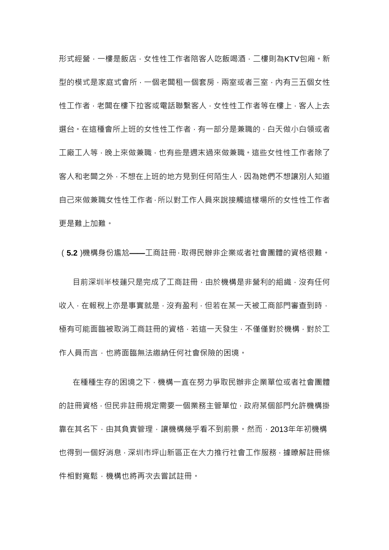形式經營,一樓是飯店,女性性工作者陪客人吃飯喝酒,二樓則為KTV包廂。新 型的模式是家庭式會所,一個老闆租一個套房,兩室或者三室,內有三五個女性 性工作者,老闆在樓下拉客或電話聯繫客人,女性性工作者等在樓上,客人上去 選台。在這種會所上班的女性性工作者,有一部分是兼職的,白天做小白領或者 工廠工人等,晚上來做兼職,也有些是週末過來做兼職。這些女性性工作者除了 客人和老闆之外,不想在上班的地方見到任何陌生人,因為她們不想讓別人知道 自己來做兼職女性性工作者,所以對工作人員來說接觸這樣場所的女性性工作者 更是難上加難。

(**5.2**)機構身份尷尬**——**工商註冊,取得民辦非企業或者社會團體的資格很難。

目前深圳半枝蓮只是完成了工商註冊,由於機構是非營利的組織,沒有任何 收入,在報稅上亦是事實就是,沒有盈利,但若在某一天被工商部門審查到時, 極有可能面臨被取消工商註冊的資格,若這一天發生,不僅僅對於機構,對於工 作人員而言,也將面臨無法繳納任何社會保險的困境。

在種種生存的困境之下,機構一直在努力爭取民辦非企業單位或者社會團體 的註冊資格,但民非註冊規定需要一個業務主管單位,政府某個部門允許機構掛 靠在其名下,由其負責管理,讓機構幾乎看不到前景。然而,2013年年初機構 也得到一個好消息,深圳市坪山新區正在大力推行社會工作服務,據瞭解註冊條 件相對寬鬆,機構也將再次去嘗試註冊。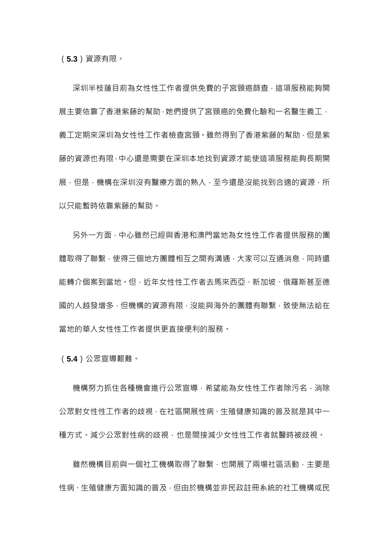(**5.3**)資源有限。

深圳半枝蓮目前為女性性工作者提供免費的子宮頸癌篩查,這項服務能夠開 展主要依靠了香港紫藤的幫助,她們提供了宮頸癌的免費化驗和一名醫生義工, 義工定期來深圳為女性性工作者檢查宮頸。雖然得到了香港紫藤的幫助,但是紫 藤的資源也有限,中心還是需要在深圳本地找到資源才能使這項服務能夠長期開 展,但是,機構在深圳沒有醫療方面的熟人,至今還是沒能找到合適的資源,所 以只能暫時依靠紫藤的幫助。

另外一方面,中心雖然已經與香港和澳門當地為女性性工作者提供服務的團 體取得了聯繫,使得三個地方團體相互之間有溝通,大家可以互通消息,同時還 能轉介個案到當地。但,近年女性性工作者去馬來西亞、新加坡、俄羅斯甚至德 國的人越發增多,但機構的資源有限,沒能與海外的團體有聯繫,致使無法給在 當地的華人女性性工作者提供更直接便利的服務。

(**5.4**)公眾宣導艱難。

機構努力抓住各種機會進行公眾宣導,希望能為女性性工作者除污名,消除 公眾對女性性工作者的歧視,在社區開展性病、生殖健康知識的普及就是其中一 種方式。減少公眾對性病的歧視,也是間接減少女性性工作者就醫時被歧視。

雖然機構目前與一個社工機構取得了聯繫,也開展了兩場社區活動,主要是 性病、牛殖健康方面知識的普及,但由於機構並非民政註冊系統的社工機構或民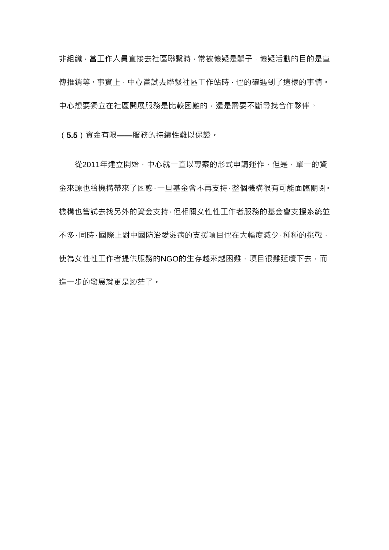非組織,當工作人員直接去社區聯繫時,常被懷疑是騙子,懷疑活動的目的是宣 傳推銷等。事實上,中心嘗試去聯繫社區工作站時,也的確遇到了這樣的事情。 中心想要獨立在社區開展服務是比較困難的,還是需要不斷尋找合作夥伴。

(**5.5**)資金有限**——**服務的持續性難以保證。

從2011年建立開始,中心就一直以專案的形式申請運作,但是,單一的資 金來源也給機構帶來了困惑,一旦基金會不再支持,整個機構很有可能面臨關閉。 機構也嘗試去找另外的資金支持,但相關女性性工作者服務的基金會支援系統並 不多,同時,國際上對中國防治愛滋病的支援項目也在大幅度減少,種種的挑戰, 使為女性性工作者提供服務的NGO的生存越來越困難,項目很難延續下去,而 進一步的發展就更是渺茫了。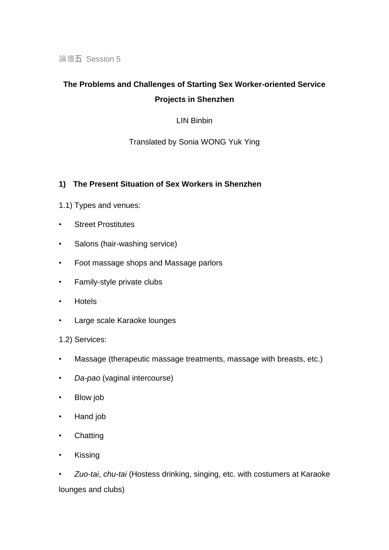論壇五 Session 5

## **The Problems and Challenges of Starting Sex Worker-oriented Service Projects in Shenzhen**

## LIN Binbin

## Translated by Sonia WONG Yuk Ying

### **1) The Present Situation of Sex Workers in Shenzhen**

- 1.1) Types and venues:
- **Street Prostitutes**
- Salons (hair-washing service)
- Foot massage shops and Massage parlors
- Family-style private clubs
- Hotels
- Large scale Karaoke lounges
- 1.2) Services:
- Massage (therapeutic massage treatments, massage with breasts, etc.)
- *Da-pao* (vaginal intercourse)
- Blow job
- Hand job
- Chatting
- Kissing

• *Zuo-tai*, *chu-tai* (Hostess drinking, singing, etc. with costumers at Karaoke lounges and clubs)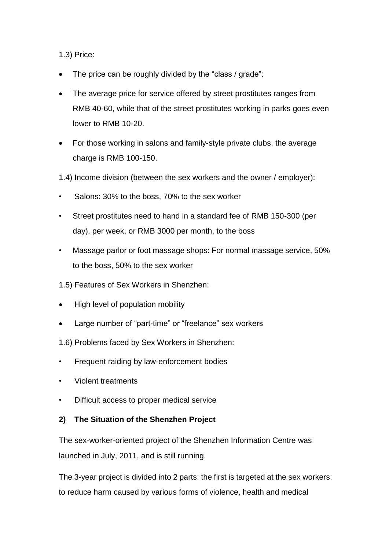1.3) Price:

- The price can be roughly divided by the "class / grade":
- The average price for service offered by street prostitutes ranges from RMB 40-60, while that of the street prostitutes working in parks goes even lower to RMB 10-20.
- For those working in salons and family-style private clubs, the average charge is RMB 100-150.
- 1.4) Income division (between the sex workers and the owner / employer):
- Salons: 30% to the boss, 70% to the sex worker
- Street prostitutes need to hand in a standard fee of RMB 150-300 (per day), per week, or RMB 3000 per month, to the boss
- Massage parlor or foot massage shops: For normal massage service, 50% to the boss, 50% to the sex worker
- 1.5) Features of Sex Workers in Shenzhen:
- High level of population mobility
- Large number of "part-time" or "freelance" sex workers
- 1.6) Problems faced by Sex Workers in Shenzhen:
- Frequent raiding by law-enforcement bodies
- Violent treatments
- Difficult access to proper medical service

### **2) The Situation of the Shenzhen Project**

The sex-worker-oriented project of the Shenzhen Information Centre was launched in July, 2011, and is still running.

The 3-year project is divided into 2 parts: the first is targeted at the sex workers: to reduce harm caused by various forms of violence, health and medical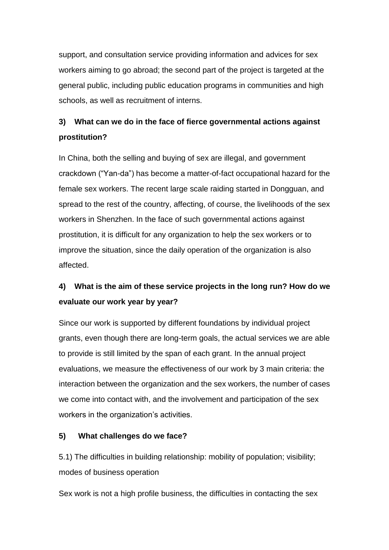support, and consultation service providing information and advices for sex workers aiming to go abroad; the second part of the project is targeted at the general public, including public education programs in communities and high schools, as well as recruitment of interns.

## **3) What can we do in the face of fierce governmental actions against prostitution?**

In China, both the selling and buying of sex are illegal, and government crackdown ("Yan-da") has become a matter-of-fact occupational hazard for the female sex workers. The recent large scale raiding started in Dongguan, and spread to the rest of the country, affecting, of course, the livelihoods of the sex workers in Shenzhen. In the face of such governmental actions against prostitution, it is difficult for any organization to help the sex workers or to improve the situation, since the daily operation of the organization is also affected.

## **4) What is the aim of these service projects in the long run? How do we evaluate our work year by year?**

Since our work is supported by different foundations by individual project grants, even though there are long-term goals, the actual services we are able to provide is still limited by the span of each grant. In the annual project evaluations, we measure the effectiveness of our work by 3 main criteria: the interaction between the organization and the sex workers, the number of cases we come into contact with, and the involvement and participation of the sex workers in the organization's activities.

### **5) What challenges do we face?**

5.1) The difficulties in building relationship: mobility of population; visibility; modes of business operation

Sex work is not a high profile business, the difficulties in contacting the sex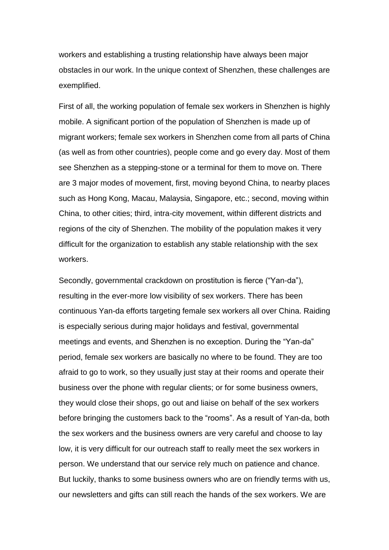workers and establishing a trusting relationship have always been major obstacles in our work. In the unique context of Shenzhen, these challenges are exemplified.

First of all, the working population of female sex workers in Shenzhen is highly mobile. A significant portion of the population of Shenzhen is made up of migrant workers; female sex workers in Shenzhen come from all parts of China (as well as from other countries), people come and go every day. Most of them see Shenzhen as a stepping-stone or a terminal for them to move on. There are 3 major modes of movement, first, moving beyond China, to nearby places such as Hong Kong, Macau, Malaysia, Singapore, etc.; second, moving within China, to other cities; third, intra-city movement, within different districts and regions of the city of Shenzhen. The mobility of the population makes it very difficult for the organization to establish any stable relationship with the sex workers.

Secondly, governmental crackdown on prostitution is fierce ("Yan-da"), resulting in the ever-more low visibility of sex workers. There has been continuous Yan-da efforts targeting female sex workers all over China. Raiding is especially serious during major holidays and festival, governmental meetings and events, and Shenzhen is no exception. During the "Yan-da" period, female sex workers are basically no where to be found. They are too afraid to go to work, so they usually just stay at their rooms and operate their business over the phone with regular clients; or for some business owners, they would close their shops, go out and liaise on behalf of the sex workers before bringing the customers back to the "rooms". As a result of Yan-da, both the sex workers and the business owners are very careful and choose to lay low, it is very difficult for our outreach staff to really meet the sex workers in person. We understand that our service rely much on patience and chance. But luckily, thanks to some business owners who are on friendly terms with us, our newsletters and gifts can still reach the hands of the sex workers. We are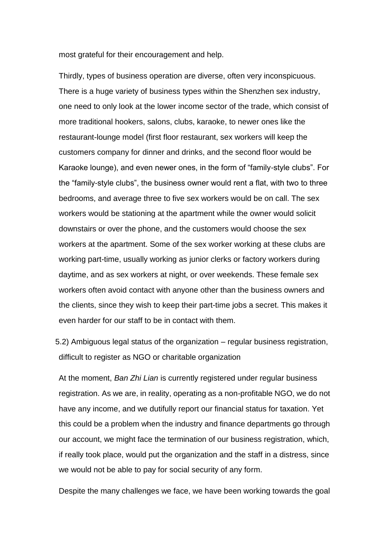most grateful for their encouragement and help.

Thirdly, types of business operation are diverse, often very inconspicuous. There is a huge variety of business types within the Shenzhen sex industry, one need to only look at the lower income sector of the trade, which consist of more traditional hookers, salons, clubs, karaoke, to newer ones like the restaurant-lounge model (first floor restaurant, sex workers will keep the customers company for dinner and drinks, and the second floor would be Karaoke lounge), and even newer ones, in the form of "family-style clubs". For the "family-style clubs", the business owner would rent a flat, with two to three bedrooms, and average three to five sex workers would be on call. The sex workers would be stationing at the apartment while the owner would solicit downstairs or over the phone, and the customers would choose the sex workers at the apartment. Some of the sex worker working at these clubs are working part-time, usually working as junior clerks or factory workers during daytime, and as sex workers at night, or over weekends. These female sex workers often avoid contact with anyone other than the business owners and the clients, since they wish to keep their part-time jobs a secret. This makes it even harder for our staff to be in contact with them.

5.2) Ambiguous legal status of the organization – regular business registration, difficult to register as NGO or charitable organization

At the moment, *Ban Zhi Lian* is currently registered under regular business registration. As we are, in reality, operating as a non-profitable NGO, we do not have any income, and we dutifully report our financial status for taxation. Yet this could be a problem when the industry and finance departments go through our account, we might face the termination of our business registration, which, if really took place, would put the organization and the staff in a distress, since we would not be able to pay for social security of any form.

Despite the many challenges we face, we have been working towards the goal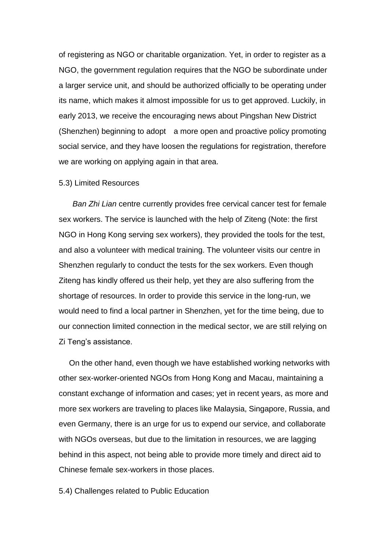of registering as NGO or charitable organization. Yet, in order to register as a NGO, the government regulation requires that the NGO be subordinate under a larger service unit, and should be authorized officially to be operating under its name, which makes it almost impossible for us to get approved. Luckily, in early 2013, we receive the encouraging news about Pingshan New District (Shenzhen) beginning to adopt a more open and proactive policy promoting social service, and they have loosen the regulations for registration, therefore we are working on applying again in that area.

#### 5.3) Limited Resources

*Ban Zhi Lian* centre currently provides free cervical cancer test for female sex workers. The service is launched with the help of Ziteng (Note: the first NGO in Hong Kong serving sex workers), they provided the tools for the test, and also a volunteer with medical training. The volunteer visits our centre in Shenzhen regularly to conduct the tests for the sex workers. Even though Ziteng has kindly offered us their help, yet they are also suffering from the shortage of resources. In order to provide this service in the long-run, we would need to find a local partner in Shenzhen, yet for the time being, due to our connection limited connection in the medical sector, we are still relying on Zi Teng's assistance.

On the other hand, even though we have established working networks with other sex-worker-oriented NGOs from Hong Kong and Macau, maintaining a constant exchange of information and cases; yet in recent years, as more and more sex workers are traveling to places like Malaysia, Singapore, Russia, and even Germany, there is an urge for us to expend our service, and collaborate with NGOs overseas, but due to the limitation in resources, we are lagging behind in this aspect, not being able to provide more timely and direct aid to Chinese female sex-workers in those places.

5.4) Challenges related to Public Education